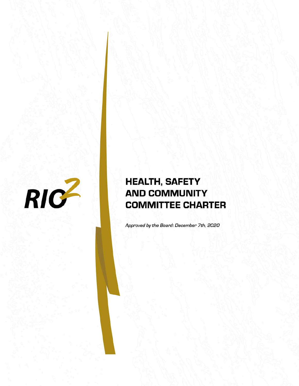

# **HEALTH, SAFETY AND COMMUNITY COMMITTEE CHARTER**

Approved by the Board: December 7th, 2020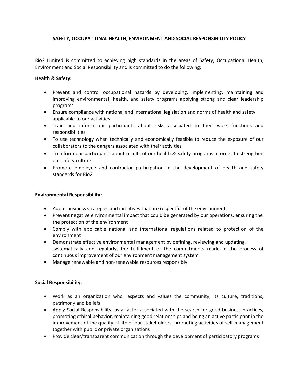### **SAFETY, OCCUPATIONAL HEALTH, ENVIRONMENT AND SOCIAL RESPONSIBILITY POLICY**

Rio2 Limited is committed to achieving high standards in the areas of Safety, Occupational Health, Environment and Social Responsibility and is committed to do the following:

#### **Health & Safety:**

- Prevent and control occupational hazards by developing, implementing, maintaining and improving environmental, health, and safety programs applying strong and clear leadership programs
- Ensure compliance with national and international legislation and norms of health and safety applicable to our activities
- Train and inform our participants about risks associated to their work functions and responsibilities
- To use technology when technically and economically feasible to reduce the exposure of our collaborators to the dangers associated with their activities
- To inform our participants about results of our health & Safety programs in order to strengthen our safety culture
- Promote employee and contractor participation in the development of health and safety standards for Rio2

## **Environmental Responsibility:**

- Adopt business strategies and initiatives that are respectful of the environment
- Prevent negative environmental impact that could be generated by our operations, ensuring the the protection of the environment
- Comply with applicable national and international regulations related to protection of the environment
- Demonstrate effective environmental management by defining, reviewing and updating, systematically and regularly, the fulfillment of the commitments made in the process of continuous improvement of our environment management system
- Manage renewable and non-renewable resources responsibly

#### **Social Responsibility:**

- Work as an organization who respects and values the community, its culture, traditions, patrimony and beliefs
- Apply Social Responsibility, as a factor associated with the search for good business practices, promoting ethical behavior, maintaining good relationships and being an active participant in the improvement of the quality of life of our stakeholders, promoting activities of self-management together with public or private organizations
- Provide clear/transparent communication through the development of participatory programs